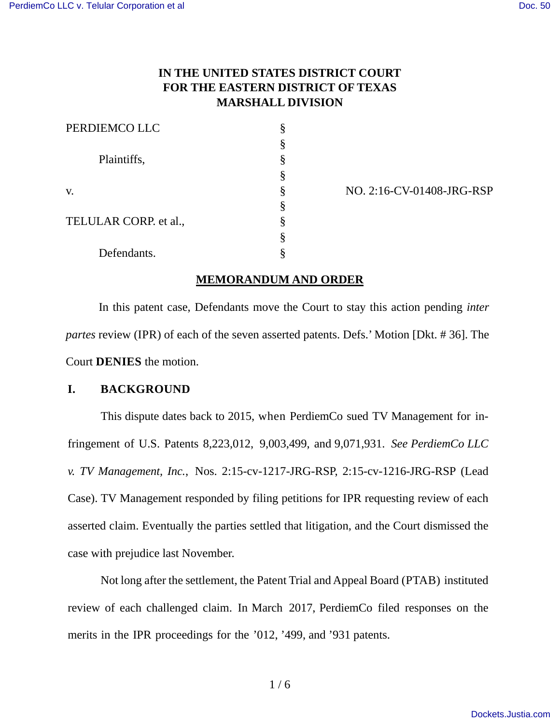# **IN THE UNITED STATES DISTRICT COURT FOR THE EASTERN DISTRICT OF TEXAS MARSHALL DIVISION**

| PERDIEMCO LLC         |   |
|-----------------------|---|
|                       |   |
| Plaintiffs,           | 8 |
|                       |   |
| V.                    | 8 |
|                       | 8 |
| TELULAR CORP. et al., |   |
|                       |   |
| Defendants.           |   |

v. § NO. 2:16-CV-01408-JRG-RSP

# **MEMORANDUM AND ORDER**

In this patent case, Defendants move the Court to stay this action pending *inter partes* review (IPR) of each of the seven asserted patents. Defs.' Motion [Dkt. # 36]. The Court **DENIES** the motion.

# **I. BACKGROUND**

This dispute dates back to 2015, when PerdiemCo sued TV Management for infringement of U.S. Patents 8,223,012, 9,003,499, and 9,071,931. *See PerdiemCo LLC v. TV Management, Inc.*, Nos. 2:15-cv-1217-JRG-RSP, 2:15-cv-1216-JRG-RSP (Lead Case). TV Management responded by filing petitions for IPR requesting review of each asserted claim. Eventually the parties settled that litigation, and the Court dismissed the case with prejudice last November.

Not long after the settlement, the Patent Trial and Appeal Board (PTAB) instituted review of each challenged claim. In March 2017, PerdiemCo filed responses on the merits in the IPR proceedings for the '012, '499, and '931 patents.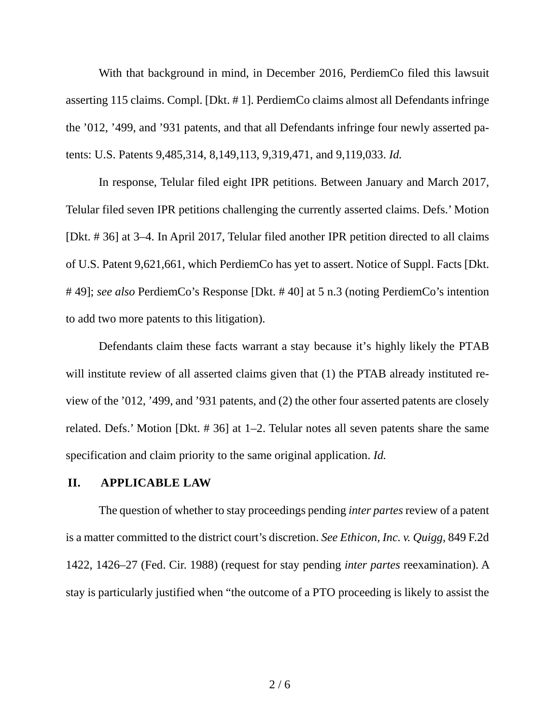With that background in mind, in December 2016, PerdiemCo filed this lawsuit asserting 115 claims. Compl. [Dkt. # 1]. PerdiemCo claims almost all Defendants infringe the '012, '499, and '931 patents, and that all Defendants infringe four newly asserted patents: U.S. Patents 9,485,314, 8,149,113, 9,319,471, and 9,119,033. *Id.*

In response, Telular filed eight IPR petitions. Between January and March 2017, Telular filed seven IPR petitions challenging the currently asserted claims. Defs.' Motion [Dkt. # 36] at 3–4. In April 2017, Telular filed another IPR petition directed to all claims of U.S. Patent 9,621,661, which PerdiemCo has yet to assert. Notice of Suppl. Facts [Dkt. # 49]; *see also* PerdiemCo's Response [Dkt. # 40] at 5 n.3 (noting PerdiemCo's intention to add two more patents to this litigation).

Defendants claim these facts warrant a stay because it's highly likely the PTAB will institute review of all asserted claims given that (1) the PTAB already instituted review of the '012, '499, and '931 patents, and (2) the other four asserted patents are closely related. Defs.' Motion [Dkt. # 36] at 1–2. Telular notes all seven patents share the same specification and claim priority to the same original application. *Id.*

### **II. APPLICABLE LAW**

The question of whether to stay proceedings pending *inter partes* review of a patent is a matter committed to the district court's discretion. *See Ethicon, Inc. v. Quigg,* 849 F.2d 1422, 1426–27 (Fed. Cir. 1988) (request for stay pending *inter partes* reexamination). A stay is particularly justified when "the outcome of a PTO proceeding is likely to assist the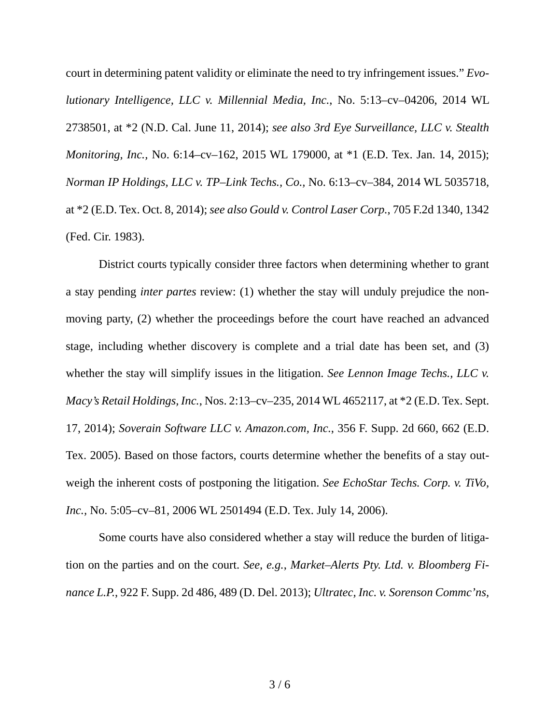court in determining patent validity or eliminate the need to try infringement issues." *Evolutionary Intelligence, LLC v. Millennial Media, Inc.*, No. 5:13–cv–04206, 2014 WL 2738501, at \*2 (N.D. Cal. June 11, 2014); *see also 3rd Eye Surveillance, LLC v. Stealth Monitoring, Inc.,* No. 6:14–cv–162, 2015 WL 179000, at \*1 (E.D. Tex. Jan. 14, 2015); *[Norman IP Holdings, LLC v. TP–Link Techs., Co.,](https://1.next.westlaw.com/Link/Document/FullText?findType=Y&serNum=2034548667&pubNum=0000999&originatingDoc=Iec4fec40c8c911e485fcce200174753d&refType=RP&originationContext=document&transitionType=DocumentItem&contextData=(sc.UserEnteredCitation))* No. 6:13–cv–384, 2014 WL 5035718, at \*2 (E.D. [Tex. Oct. 8, 2014\);](https://1.next.westlaw.com/Link/Document/FullText?findType=Y&serNum=2034548667&pubNum=0000999&originatingDoc=Iec4fec40c8c911e485fcce200174753d&refType=RP&originationContext=document&transitionType=DocumentItem&contextData=(sc.UserEnteredCitation)) *see also Gould v. Control Laser Corp.*, 705 F.2d 1340, 1342 (Fed. Cir. 1983).

District courts typically consider three factors when determining whether to grant a stay pending *inter partes* review: (1) whether the stay will unduly prejudice the nonmoving party, (2) whether the proceedings before the court have reached an advanced stage, including whether discovery is complete and a trial date has been set, and (3) whether the stay will simplify issues in the litigation. *See Lennon Image Techs., LLC v. Macy's Retail Holdings, Inc.*, Nos. 2:13–cv–235, 2014 WL 4652117, at \*2 (E.D. Tex. Sept. 17, 2014); *Soverain Software LLC v. Amazon.com, Inc.*, 356 F. Supp. 2d 660, 662 (E.D. Tex. 2005). Based on those factors, courts determine whether the benefits of a stay outweigh the inherent costs of postponing the litigation. *See EchoStar Techs. Corp. v. TiVo, Inc.,* No. 5:05–cv–81, 2006 WL 2501494 (E.D. Tex. July 14, 2006).

Some courts have also considered whether a stay will reduce the burden of litigation on the parties and on the court. *See, e.g.*, *[Market–Alerts Pty. Ltd. v. Bloomberg Fi](https://1.next.westlaw.com/Link/Document/FullText?findType=Y&serNum=2029800370&pubNum=0004637&originatingDoc=Iec4fec40c8c911e485fcce200174753d&refType=RP&fi=co_pp_sp_4637_489&originationContext=document&transitionType=DocumentItem&contextData=(sc.UserEnteredCitation)#co_pp_sp_4637_489)nance L.P.*, 922 F. Supp. [2d 486, 489 \(D. Del. 2013\);](https://1.next.westlaw.com/Link/Document/FullText?findType=Y&serNum=2029800370&pubNum=0004637&originatingDoc=Iec4fec40c8c911e485fcce200174753d&refType=RP&fi=co_pp_sp_4637_489&originationContext=document&transitionType=DocumentItem&contextData=(sc.UserEnteredCitation)#co_pp_sp_4637_489) *[Ultratec, Inc. v. Sorenson Commc'ns,](https://1.next.westlaw.com/Link/Document/FullText?findType=Y&serNum=2031969420&pubNum=0000999&originatingDoc=Iec4fec40c8c911e485fcce200174753d&refType=RP&originationContext=document&transitionType=DocumentItem&contextData=(sc.UserEnteredCitation))*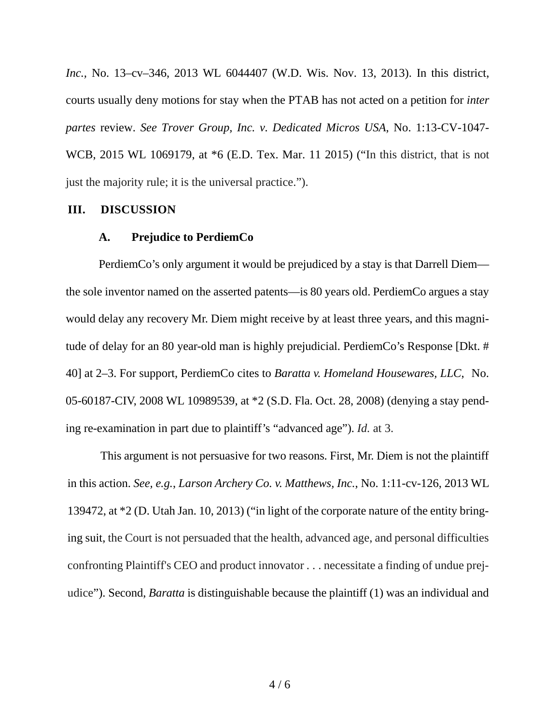*Inc.,* [No. 13–cv–346, 2013 WL 6044407 \(W.D. Wis. Nov. 13, 20](https://1.next.westlaw.com/Link/Document/FullText?findType=Y&serNum=2031969420&pubNum=0000999&originatingDoc=Iec4fec40c8c911e485fcce200174753d&refType=RP&originationContext=document&transitionType=DocumentItem&contextData=(sc.UserEnteredCitation))13). In this district, courts usually deny motions for stay when the PTAB has not acted on a petition for *inter partes* review. *See Trover Group, Inc. v. Dedicated Micros USA*, No. 1:13-CV-1047- WCB, 2015 WL 1069179, at \*6 (E.D. Tex. Mar. 11 2015) ("In this district, that is not just the majority rule; it is the universal practice.").

#### **III. DISCUSSION**

#### **A. Prejudice to PerdiemCo**

PerdiemCo's only argument it would be prejudiced by a stay is that Darrell Diem the sole inventor named on the asserted patents—is 80 years old. PerdiemCo argues a stay would delay any recovery Mr. Diem might receive by at least three years, and this magnitude of delay for an 80 year-old man is highly prejudicial. PerdiemCo's Response [Dkt. # 40] at 2–3. For support, PerdiemCo cites to *Baratta v. Homeland Housewares, LLC*, No. 05-60187-CIV, 2008 WL 10989539, at \*2 (S.D. Fla. Oct. 28, 2008) (denying a stay pending re-examination in part due to plaintiff's "advanced age"). *Id.* at 3.

This argument is not persuasive for two reasons. First, Mr. Diem is not the plaintiff in this action. *See, e.g.*, *Larson Archery Co. v. Matthews, Inc.*, No. 1:11-cv-126, 2013 WL 139472, at \*2 (D. Utah Jan. 10, 2013) ("in light of the corporate nature of the entity bringing suit, the Court is not persuaded that the health, advanced age, and personal difficulties confronting Plaintiff's CEO and product innovator . . . necessitate a finding of undue prejudice"). Second, *Baratta* is distinguishable because the plaintiff (1) was an individual and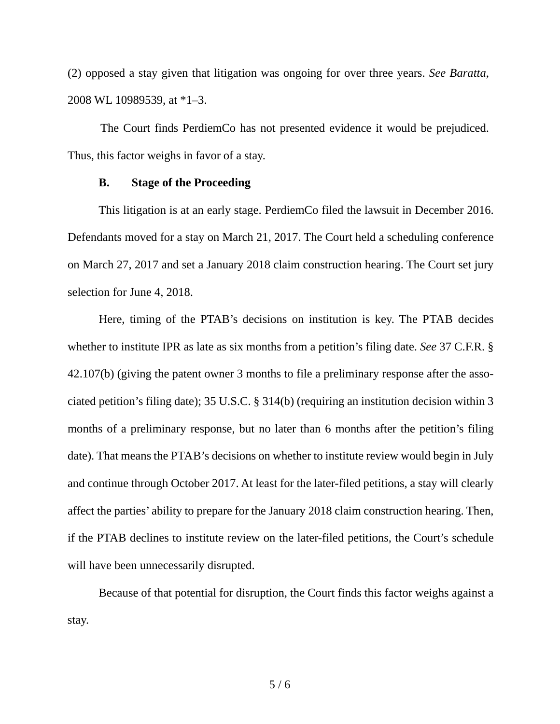(2) opposed a stay given that litigation was ongoing for over three years. *See Baratta*, 2008 WL 10989539, at \*1–3.

The Court finds PerdiemCo has not presented evidence it would be prejudiced. Thus, this factor weighs in favor of a stay.

## **B. Stage of the Proceeding**

This litigation is at an early stage. PerdiemCo filed the lawsuit in December 2016. Defendants moved for a stay on March 21, 2017. The Court held a scheduling conference on March 27, 2017 and set a January 2018 claim construction hearing. The Court set jury selection for June 4, 2018.

Here, timing of the PTAB's decisions on institution is key. The PTAB decides whether to institute IPR as late as six months from a petition's filing date. *See* 37 C.F.R. § 42.107(b) (giving the patent owner 3 months to file a preliminary response after the associated petition's filing date); 35 U.S.C. § 314(b) (requiring an institution decision within 3 months of a preliminary response, but no later than 6 months after the petition's filing date). That means the PTAB's decisions on whether to institute review would begin in July and continue through October 2017. At least for the later-filed petitions, a stay will clearly affect the parties' ability to prepare for the January 2018 claim construction hearing. Then, if the PTAB declines to institute review on the later-filed petitions, the Court's schedule will have been unnecessarily disrupted.

Because of that potential for disruption, the Court finds this factor weighs against a stay.